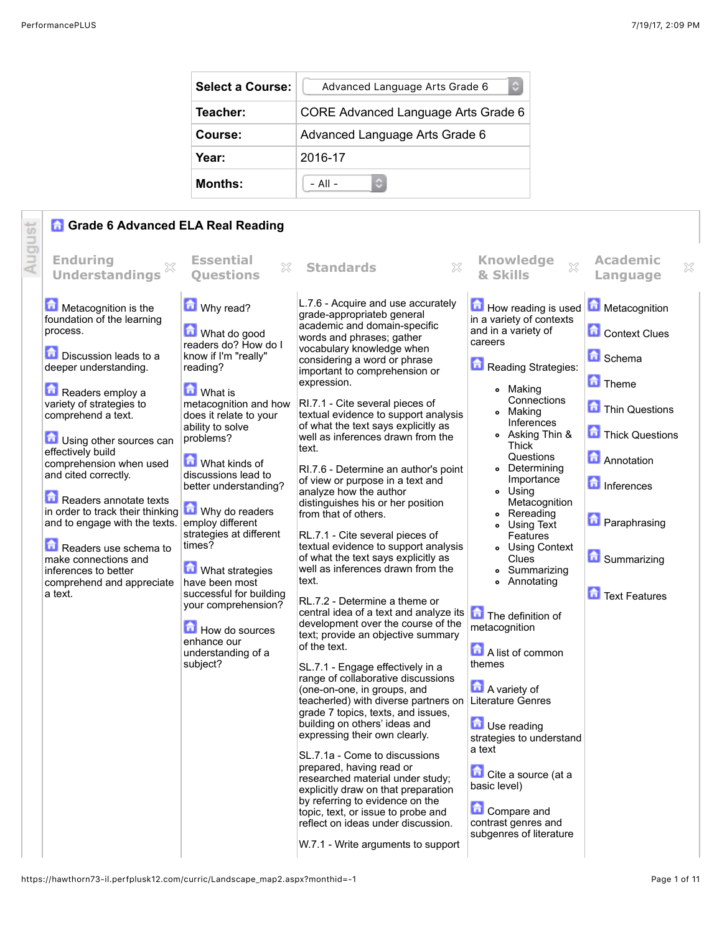| <b>Select a Course:</b> | Advanced Language Arts Grade 6      |  |  |
|-------------------------|-------------------------------------|--|--|
| Teacher:                | CORE Advanced Language Arts Grade 6 |  |  |
| Course:                 | Advanced Language Arts Grade 6      |  |  |
| Year:                   | 2016-17                             |  |  |
| Months:                 | $-$ All $-$                         |  |  |

## **G** Grade 6 Advanced ELA Real Reading

|        | <b>n</b> Grade 6 Advanced ELA Real Reading                            |                                                                     |                                                                                                                  |                                                            |                                             |
|--------|-----------------------------------------------------------------------|---------------------------------------------------------------------|------------------------------------------------------------------------------------------------------------------|------------------------------------------------------------|---------------------------------------------|
| August | <b>Enduring</b><br>X<br><b>Understandings</b>                         | <b>Essential</b><br>X<br><b>Ouestions</b>                           | $\gtrsim$<br><b>Standards</b>                                                                                    | <b>Knowledge</b><br>$\chi$<br>& Skills                     | <b>Academic</b><br>$\mathbb{X}$<br>Language |
|        | Metacognition is the                                                  | Why read?                                                           | L.7.6 - Acquire and use accurately<br>grade-appropriateb general                                                 | How reading is used                                        | Metacognition                               |
|        | foundation of the learning<br>process.                                | What do good<br>readers do? How do I                                | academic and domain-specific<br>words and phrases; gather                                                        | in a variety of contexts<br>and in a variety of<br>careers | <b>Context Clues</b>                        |
|        | <b>Discussion leads to a</b><br>deeper understanding.                 | know if I'm "really"<br>reading?                                    | vocabulary knowledge when<br>considering a word or phrase<br>important to comprehension or                       | Reading Strategies:                                        | <b>n</b> Schema                             |
|        | Readers employ a                                                      | <b>M</b> What is                                                    | expression.                                                                                                      | o Making<br>Connections                                    | <b>n</b> Theme                              |
|        | variety of strategies to<br>comprehend a text.                        | metacognition and how<br>does it relate to your<br>ability to solve | RI.7.1 - Cite several pieces of<br>textual evidence to support analysis<br>of what the text says explicitly as   | o Making<br>Inferences                                     | Thin Questions                              |
|        | Using other sources can<br>effectively build                          | problems?                                                           | well as inferences drawn from the<br>text.                                                                       | • Asking Thin &<br>Thick<br>Questions                      | Thick Questions                             |
|        | comprehension when used<br>and cited correctly.                       | What kinds of<br>discussions lead to<br>better understanding?       | RI.7.6 - Determine an author's point<br>of view or purpose in a text and                                         | o Determining<br>Importance                                | <b>Annotation</b><br><b>n</b> Inferences    |
|        | Readers annotate texts<br>in order to track their thinking            | Why do readers                                                      | analyze how the author<br>distinguishes his or her position<br>from that of others.                              | o Using<br>Metacognition<br>• Rereading                    |                                             |
|        | and to engage with the texts.                                         | employ different<br>strategies at different                         | RL.7.1 - Cite several pieces of                                                                                  | • Using Text<br>Features                                   | <b>D</b> Paraphrasing                       |
|        | Readers use schema to<br>make connections and<br>inferences to better | times?<br><b>M</b> What strategies                                  | textual evidence to support analysis<br>of what the text says explicitly as<br>well as inferences drawn from the | <b>• Using Context</b><br>Clues<br>• Summarizing           | <b>G</b> Summarizing                        |
|        | comprehend and appreciate<br>a text.                                  | have been most<br>successful for building                           | text.                                                                                                            | <b>•</b> Annotating                                        | <b>Text Features</b>                        |
|        |                                                                       | your comprehension?                                                 | RL.7.2 - Determine a theme or<br>central idea of a text and analyze its<br>development over the course of the    | The definition of<br>metacognition                         |                                             |
|        |                                                                       | How do sources<br>enhance our<br>understanding of a                 | text; provide an objective summary<br>of the text.                                                               | A list of common                                           |                                             |
|        |                                                                       | subject?                                                            | SL.7.1 - Engage effectively in a<br>range of collaborative discussions                                           | themes                                                     |                                             |
|        |                                                                       |                                                                     | (one-on-one, in groups, and<br>teacherled) with diverse partners on<br>grade 7 topics, texts, and issues,        | A variety of<br>Literature Genres                          |                                             |
|        |                                                                       |                                                                     | building on others' ideas and<br>expressing their own clearly.                                                   | <b>D</b> Use reading<br>strategies to understand           |                                             |
|        |                                                                       |                                                                     | SL.7.1a - Come to discussions<br>prepared, having read or                                                        | a text                                                     |                                             |
|        |                                                                       |                                                                     | researched material under study;<br>explicitly draw on that preparation                                          | Cite a source (at a<br>basic level)                        |                                             |
|        |                                                                       |                                                                     | by referring to evidence on the<br>topic, text, or issue to probe and<br>reflect on ideas under discussion.      | <b>Compare and</b><br>contrast genres and                  |                                             |
|        |                                                                       |                                                                     | W.7.1 - Write arguments to support                                                                               | subgenres of literature                                    |                                             |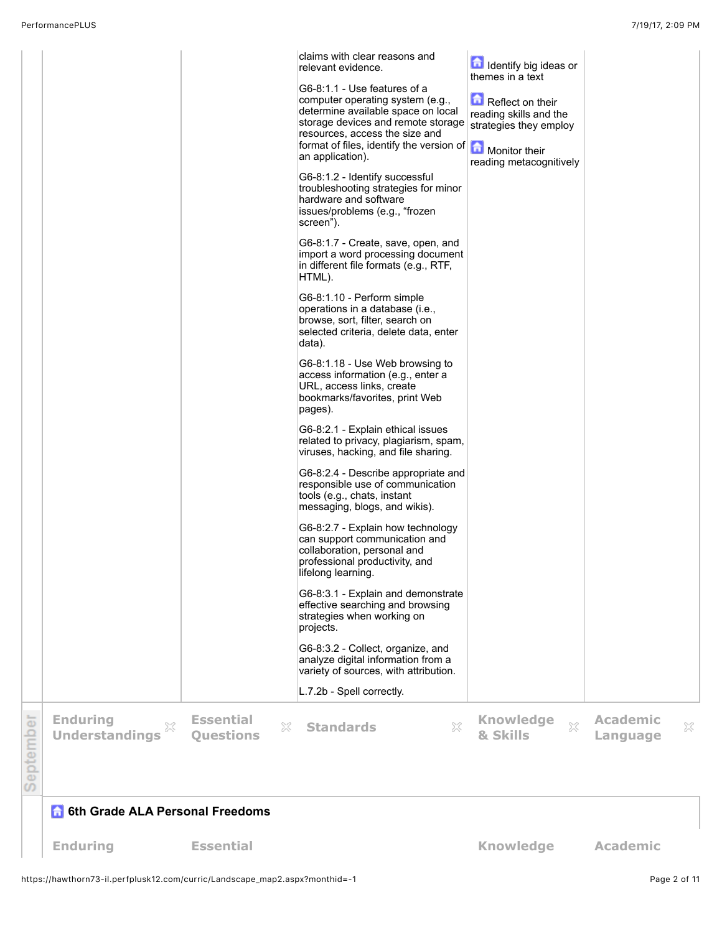|           |                                               |                                           | claims with clear reasons and<br>relevant evidence.<br>G6-8:1.1 - Use features of a<br>computer operating system (e.g.,<br>determine available space on local<br>storage devices and remote storage<br>resources, access the size and<br>format of files, identify the version of <b>A</b> Monitor their<br>an application).<br>G6-8:1.2 - Identify successful<br>troubleshooting strategies for minor<br>hardware and software<br>issues/problems (e.g., "frozen<br>screen").<br>G6-8:1.7 - Create, save, open, and<br>import a word processing document<br>in different file formats (e.g., RTF,<br>HTML).<br>G6-8:1.10 - Perform simple<br>operations in a database (i.e.,<br>browse, sort, filter, search on<br>selected criteria, delete data, enter<br>data).<br>G6-8:1.18 - Use Web browsing to<br>access information (e.g., enter a<br>URL, access links, create<br>bookmarks/favorites, print Web<br>pages).<br>G6-8:2.1 - Explain ethical issues<br>related to privacy, plagiarism, spam,<br>viruses, hacking, and file sharing.<br>G6-8:2.4 - Describe appropriate and<br>responsible use of communication<br>tools (e.g., chats, instant<br>messaging, blogs, and wikis).<br>G6-8:2.7 - Explain how technology<br>can support communication and<br>collaboration, personal and<br>professional productivity, and<br>lifelong learning.<br>G6-8:3.1 - Explain and demonstrate<br>effective searching and browsing<br>strategies when working on<br>projects.<br>G6-8:3.2 - Collect, organize, and<br>analyze digital information from a<br>variety of sources, with attribution.<br>L.7.2b - Spell correctly. | Identify big ideas or<br>themes in a text<br>$\blacksquare$ Reflect on their<br>reading skills and the<br>strategies they employ<br>reading metacognitively |                             |   |
|-----------|-----------------------------------------------|-------------------------------------------|--------------------------------------------------------------------------------------------------------------------------------------------------------------------------------------------------------------------------------------------------------------------------------------------------------------------------------------------------------------------------------------------------------------------------------------------------------------------------------------------------------------------------------------------------------------------------------------------------------------------------------------------------------------------------------------------------------------------------------------------------------------------------------------------------------------------------------------------------------------------------------------------------------------------------------------------------------------------------------------------------------------------------------------------------------------------------------------------------------------------------------------------------------------------------------------------------------------------------------------------------------------------------------------------------------------------------------------------------------------------------------------------------------------------------------------------------------------------------------------------------------------------------------------------------------------------------------------------------------------------------|-------------------------------------------------------------------------------------------------------------------------------------------------------------|-----------------------------|---|
|           |                                               |                                           |                                                                                                                                                                                                                                                                                                                                                                                                                                                                                                                                                                                                                                                                                                                                                                                                                                                                                                                                                                                                                                                                                                                                                                                                                                                                                                                                                                                                                                                                                                                                                                                                                          |                                                                                                                                                             |                             |   |
| September | <b>Enduring</b><br>X<br><b>Understandings</b> | <b>Essential</b><br>X<br><b>Questions</b> | ×<br><b>Standards</b>                                                                                                                                                                                                                                                                                                                                                                                                                                                                                                                                                                                                                                                                                                                                                                                                                                                                                                                                                                                                                                                                                                                                                                                                                                                                                                                                                                                                                                                                                                                                                                                                    | <b>Knowledge</b><br>$\mathbb{X}^2$<br>& Skills                                                                                                              | <b>Academic</b><br>Language | × |
|           |                                               |                                           |                                                                                                                                                                                                                                                                                                                                                                                                                                                                                                                                                                                                                                                                                                                                                                                                                                                                                                                                                                                                                                                                                                                                                                                                                                                                                                                                                                                                                                                                                                                                                                                                                          |                                                                                                                                                             |                             |   |

## **6 6th Grade ALA Personal Freedoms**

**Enduring <b>Essential Example 20 and Exsential Knowledge Academic**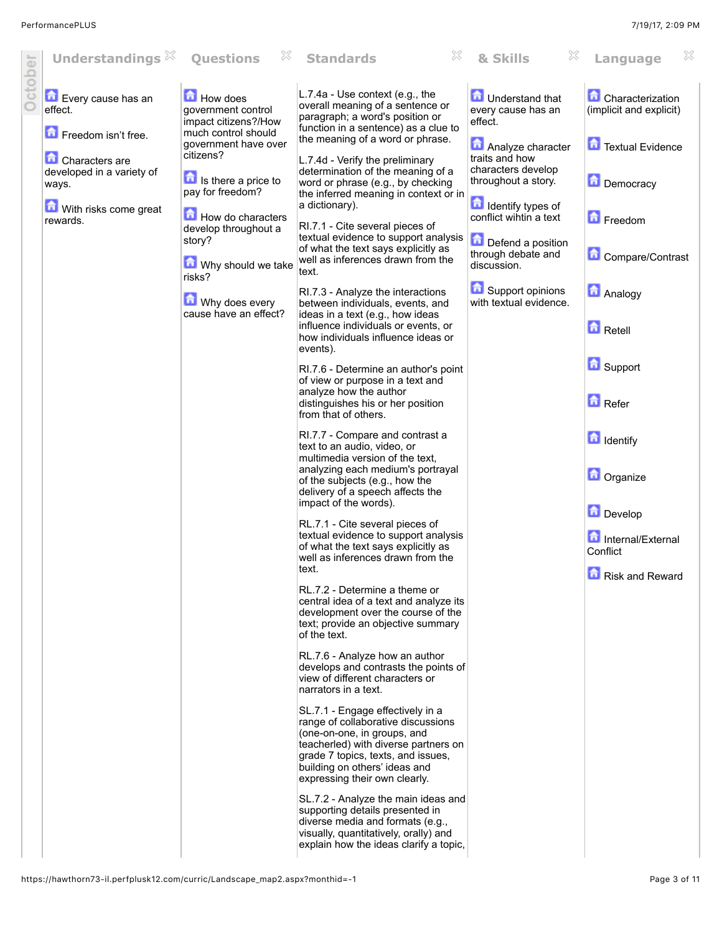| October | Understandings $\%$                                  | X<br><b>Questions</b>                                                         | ×<br><b>Standards</b>                                                                                                                                                                                                                                 | & Skills                                                   | ×<br>Language                                      |
|---------|------------------------------------------------------|-------------------------------------------------------------------------------|-------------------------------------------------------------------------------------------------------------------------------------------------------------------------------------------------------------------------------------------------------|------------------------------------------------------------|----------------------------------------------------|
|         | Every cause has an<br>effect.<br>Freedom isn't free. | How does<br>government control<br>impact citizens?/How<br>much control should | L.7.4a - Use context (e.g., the<br>overall meaning of a sentence or<br>paragraph; a word's position or<br>function in a sentence) as a clue to                                                                                                        | <b>In</b> Understand that<br>every cause has an<br>effect. | <b>Characterization</b><br>(implicit and explicit) |
|         | <b>Characters</b> are                                | government have over<br>citizens?                                             | the meaning of a word or phrase.<br>L.7.4d - Verify the preliminary                                                                                                                                                                                   | Analyze character<br>traits and how                        | Textual Evidence                                   |
|         | developed in a variety of<br>ways.                   | Is there a price to<br>pay for freedom?                                       | determination of the meaning of a<br>word or phrase (e.g., by checking<br>the inferred meaning in context or in                                                                                                                                       | characters develop<br>throughout a story.                  | Democracy                                          |
|         | With risks come great<br>rewards.                    | How do characters<br>develop throughout a                                     | a dictionary).<br>RI.7.1 - Cite several pieces of                                                                                                                                                                                                     | <b>n</b> Identify types of<br>conflict wintin a text       | Freedom                                            |
|         |                                                      | story?                                                                        | textual evidence to support analysis<br>of what the text says explicitly as<br>well as inferences drawn from the                                                                                                                                      | Defend a position<br>through debate and                    | Compare/Contrast                                   |
|         |                                                      | Why should we take<br>risks?                                                  | text.<br>RI.7.3 - Analyze the interactions                                                                                                                                                                                                            | discussion.<br>Support opinions                            | <b>Analogy</b>                                     |
|         |                                                      | Why does every<br>cause have an effect?                                       | between individuals, events, and<br>ideas in a text (e.g., how ideas<br>influence individuals or events, or                                                                                                                                           | with textual evidence.                                     |                                                    |
|         |                                                      |                                                                               | how individuals influence ideas or<br>events).                                                                                                                                                                                                        |                                                            | <b>n</b> Retell                                    |
|         |                                                      |                                                                               | RI.7.6 - Determine an author's point<br>of view or purpose in a text and<br>analyze how the author                                                                                                                                                    |                                                            | Support                                            |
|         |                                                      |                                                                               | distinguishes his or her position<br>from that of others.                                                                                                                                                                                             |                                                            | Refer                                              |
|         |                                                      |                                                                               | RI.7.7 - Compare and contrast a<br>text to an audio, video, or<br>multimedia version of the text.                                                                                                                                                     |                                                            | dentify                                            |
|         |                                                      |                                                                               | analyzing each medium's portrayal<br>of the subjects (e.g., how the<br>delivery of a speech affects the                                                                                                                                               |                                                            | <b>D</b> Organize                                  |
|         |                                                      |                                                                               | impact of the words).<br>RL.7.1 - Cite several pieces of                                                                                                                                                                                              |                                                            | Develop                                            |
|         |                                                      |                                                                               | textual evidence to support analysis<br>of what the text says explicitly as<br>well as inferences drawn from the                                                                                                                                      |                                                            | Internal/External<br>Conflict                      |
|         |                                                      |                                                                               | text.<br>RL.7.2 - Determine a theme or<br>central idea of a text and analyze its                                                                                                                                                                      |                                                            | Risk and Reward                                    |
|         |                                                      |                                                                               | development over the course of the<br>text; provide an objective summary<br>of the text.                                                                                                                                                              |                                                            |                                                    |
|         |                                                      |                                                                               | RL.7.6 - Analyze how an author<br>develops and contrasts the points of<br>view of different characters or<br>narrators in a text.                                                                                                                     |                                                            |                                                    |
|         |                                                      |                                                                               | SL.7.1 - Engage effectively in a<br>range of collaborative discussions<br>(one-on-one, in groups, and<br>teacherled) with diverse partners on<br>grade 7 topics, texts, and issues,<br>building on others' ideas and<br>expressing their own clearly. |                                                            |                                                    |
|         |                                                      |                                                                               | SL.7.2 - Analyze the main ideas and<br>supporting details presented in<br>diverse media and formats (e.g.,<br>visually, quantitatively, orally) and<br>explain how the ideas clarify a topic,                                                         |                                                            |                                                    |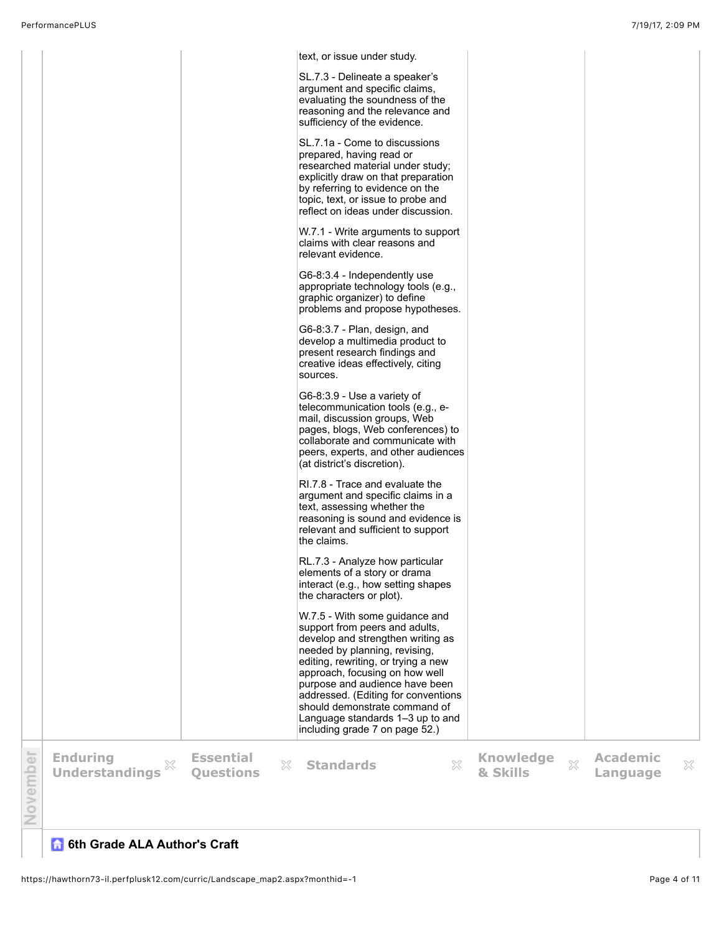|          |                            |                               | text, or issue under study.                                                               |                            |                 |   |
|----------|----------------------------|-------------------------------|-------------------------------------------------------------------------------------------|----------------------------|-----------------|---|
|          |                            |                               | SL.7.3 - Delineate a speaker's<br>argument and specific claims,                           |                            |                 |   |
|          |                            |                               | evaluating the soundness of the<br>reasoning and the relevance and                        |                            |                 |   |
|          |                            |                               | sufficiency of the evidence.                                                              |                            |                 |   |
|          |                            |                               | SL.7.1a - Come to discussions                                                             |                            |                 |   |
|          |                            |                               | prepared, having read or<br>researched material under study;                              |                            |                 |   |
|          |                            |                               | explicitly draw on that preparation<br>by referring to evidence on the                    |                            |                 |   |
|          |                            |                               | topic, text, or issue to probe and<br>reflect on ideas under discussion.                  |                            |                 |   |
|          |                            |                               | W.7.1 - Write arguments to support<br>claims with clear reasons and<br>relevant evidence. |                            |                 |   |
|          |                            |                               |                                                                                           |                            |                 |   |
|          |                            |                               | G6-8:3.4 - Independently use<br>appropriate technology tools (e.g.,                       |                            |                 |   |
|          |                            |                               | graphic organizer) to define<br>problems and propose hypotheses.                          |                            |                 |   |
|          |                            |                               | G6-8:3.7 - Plan, design, and<br>develop a multimedia product to                           |                            |                 |   |
|          |                            |                               | present research findings and<br>creative ideas effectively, citing                       |                            |                 |   |
|          |                            |                               | sources.                                                                                  |                            |                 |   |
|          |                            |                               | G6-8:3.9 - Use a variety of<br>telecommunication tools (e.g., e-                          |                            |                 |   |
|          |                            |                               | mail, discussion groups, Web<br>pages, blogs, Web conferences) to                         |                            |                 |   |
|          |                            |                               | collaborate and communicate with                                                          |                            |                 |   |
|          |                            |                               | peers, experts, and other audiences<br>(at district's discretion).                        |                            |                 |   |
|          |                            |                               | RI.7.8 - Trace and evaluate the<br>argument and specific claims in a                      |                            |                 |   |
|          |                            |                               | text, assessing whether the<br>reasoning is sound and evidence is                         |                            |                 |   |
|          |                            |                               | relevant and sufficient to support<br>the claims.                                         |                            |                 |   |
|          |                            |                               | RL.7.3 - Analyze how particular<br>elements of a story or drama                           |                            |                 |   |
|          |                            |                               | interact (e.g., how setting shapes<br>the characters or plot).                            |                            |                 |   |
|          |                            |                               | W.7.5 - With some guidance and                                                            |                            |                 |   |
|          |                            |                               | support from peers and adults,<br>develop and strengthen writing as                       |                            |                 |   |
|          |                            |                               | needed by planning, revising,<br>editing, rewriting, or trying a new                      |                            |                 |   |
|          |                            |                               | approach, focusing on how well<br>purpose and audience have been                          |                            |                 |   |
|          |                            |                               | addressed. (Editing for conventions<br>should demonstrate command of                      |                            |                 |   |
|          |                            |                               | Language standards 1-3 up to and<br>including grade 7 on page 52.)                        |                            |                 |   |
|          | <b>Enduring</b>            | <b>Essential</b>              |                                                                                           | <b>Knowledge</b>           | <b>Academic</b> |   |
| November | X<br><b>Understandings</b> | $\gtrsim$<br><b>Questions</b> | ×<br><b>Standards</b>                                                                     | $\mathbb{S}^2$<br>& Skills | Language        | X |
|          |                            |                               |                                                                                           |                            |                 |   |
|          |                            |                               |                                                                                           |                            |                 |   |

## **6th Grade ALA Author's Craft**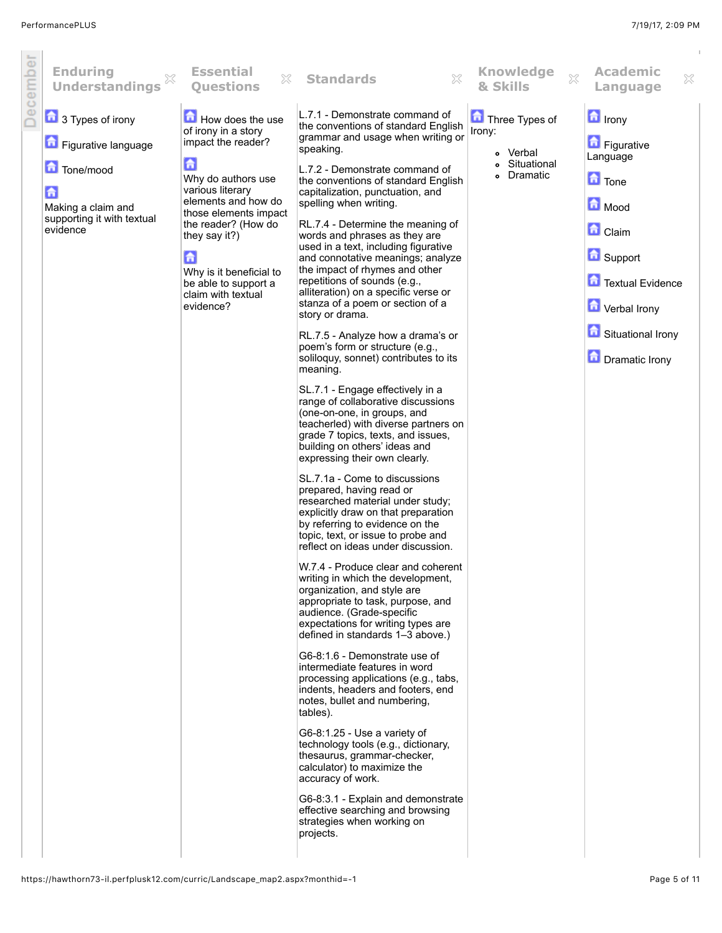| December | <b>Enduring</b><br><b>Understandings</b>                                       | <b>Essential</b><br>×<br><b>Questions</b>                                                                                                                                                                                      | <b>Standards</b><br>X                                                                                                                                                                                                                                                                                                                                                                                                                                                                                                                                                                                                                                                                                                                                                                                                                                                                                                                                                                                                                                                                                                                                                                                                                                                                                                                                                                                                                                                                                                                                                                                                                                       | <b>Knowledge</b><br>$\mathbb{X}$<br>& Skills | <b>Academic</b><br>×<br>Language                                                                                                                   |
|----------|--------------------------------------------------------------------------------|--------------------------------------------------------------------------------------------------------------------------------------------------------------------------------------------------------------------------------|-------------------------------------------------------------------------------------------------------------------------------------------------------------------------------------------------------------------------------------------------------------------------------------------------------------------------------------------------------------------------------------------------------------------------------------------------------------------------------------------------------------------------------------------------------------------------------------------------------------------------------------------------------------------------------------------------------------------------------------------------------------------------------------------------------------------------------------------------------------------------------------------------------------------------------------------------------------------------------------------------------------------------------------------------------------------------------------------------------------------------------------------------------------------------------------------------------------------------------------------------------------------------------------------------------------------------------------------------------------------------------------------------------------------------------------------------------------------------------------------------------------------------------------------------------------------------------------------------------------------------------------------------------------|----------------------------------------------|----------------------------------------------------------------------------------------------------------------------------------------------------|
|          | 3 Types of irony<br>Figurative language                                        | How does the use<br>of irony in a story<br>impact the reader?                                                                                                                                                                  | L.7.1 - Demonstrate command of<br>the conventions of standard English<br>grammar and usage when writing or<br>speaking.                                                                                                                                                                                                                                                                                                                                                                                                                                                                                                                                                                                                                                                                                                                                                                                                                                                                                                                                                                                                                                                                                                                                                                                                                                                                                                                                                                                                                                                                                                                                     | Three Types of<br>Irony:<br>• Verbal         | $\blacksquare$ Irony<br>Figurative                                                                                                                 |
|          | Tone/mood<br>6<br>Making a claim and<br>supporting it with textual<br>evidence | ٦<br>Why do authors use<br>various literary<br>elements and how do<br>those elements impact<br>the reader? (How do<br>they say it?)<br>鱼<br>Why is it beneficial to<br>be able to support a<br>claim with textual<br>evidence? | L.7.2 - Demonstrate command of<br>the conventions of standard English<br>capitalization, punctuation, and<br>spelling when writing.<br>RL.7.4 - Determine the meaning of<br>words and phrases as they are<br>used in a text, including figurative<br>and connotative meanings; analyze<br>the impact of rhymes and other<br>repetitions of sounds (e.g.,<br>alliteration) on a specific verse or<br>stanza of a poem or section of a<br>story or drama.<br>RL.7.5 - Analyze how a drama's or<br>poem's form or structure (e.g.,<br>soliloquy, sonnet) contributes to its<br>meaning.<br>SL.7.1 - Engage effectively in a<br>range of collaborative discussions<br>(one-on-one, in groups, and<br>teacherled) with diverse partners on<br>grade 7 topics, texts, and issues,<br>building on others' ideas and<br>expressing their own clearly.<br>SL.7.1a - Come to discussions<br>prepared, having read or<br>researched material under study;<br>explicitly draw on that preparation<br>by referring to evidence on the<br>topic, text, or issue to probe and<br>reflect on ideas under discussion.<br>W.7.4 - Produce clear and coherent<br>writing in which the development,<br>organization, and style are<br>appropriate to task, purpose, and<br>audience. (Grade-specific<br>expectations for writing types are<br>defined in standards 1-3 above.)<br>G6-8:1.6 - Demonstrate use of<br>intermediate features in word<br>processing applications (e.g., tabs,<br>indents, headers and footers, end<br>notes, bullet and numbering,<br>tables).<br>G6-8:1.25 - Use a variety of<br>technology tools (e.g., dictionary,<br>thesaurus, grammar-checker, | Situational<br>Dramatic                      | Language<br><b>n</b> Tone<br>Mood<br><b>n</b> Claim<br>Support<br>Textual Evidence<br><b>T</b> Verbal Irony<br>Situational Irony<br>Dramatic Irony |
|          |                                                                                |                                                                                                                                                                                                                                | calculator) to maximize the<br>accuracy of work.<br>G6-8:3.1 - Explain and demonstrate<br>effective searching and browsing<br>strategies when working on<br>projects.                                                                                                                                                                                                                                                                                                                                                                                                                                                                                                                                                                                                                                                                                                                                                                                                                                                                                                                                                                                                                                                                                                                                                                                                                                                                                                                                                                                                                                                                                       |                                              |                                                                                                                                                    |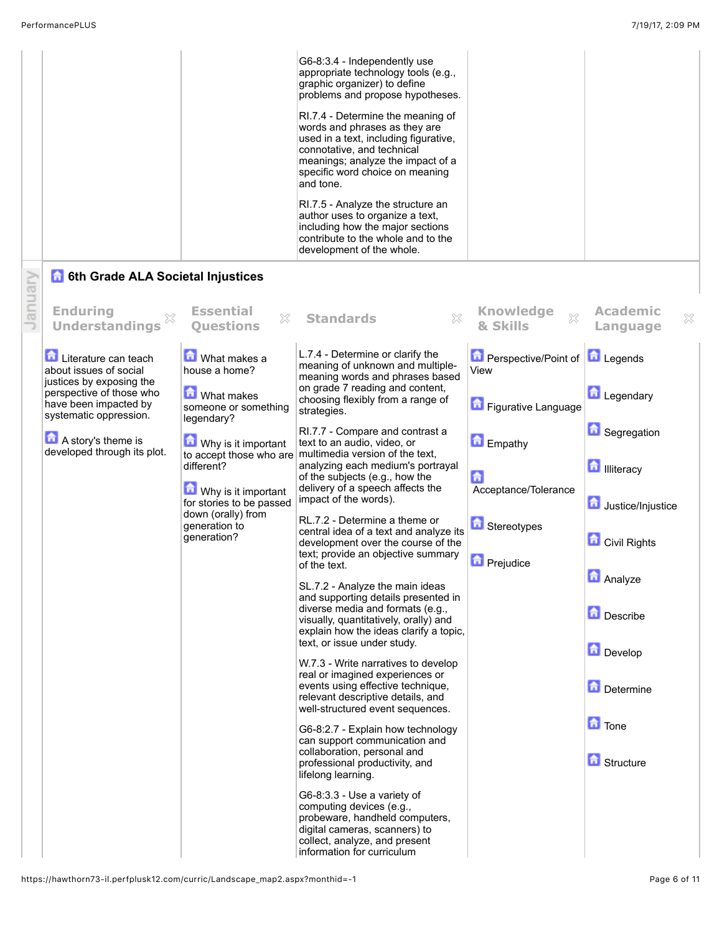|         |                                                                             |                                                               | G6-8:3.4 - Independently use<br>appropriate technology tools (e.g.,<br>graphic organizer) to define<br>problems and propose hypotheses.<br>RI.7.4 - Determine the meaning of<br>words and phrases as they are<br>used in a text, including figurative,<br>connotative, and technical<br>meanings; analyze the impact of a<br>specific word choice on meaning<br>and tone.<br>RI.7.5 - Analyze the structure an<br>author uses to organize a text,<br>including how the major sections<br>contribute to the whole and to the<br>development of the whole. |                                                        |                                          |
|---------|-----------------------------------------------------------------------------|---------------------------------------------------------------|----------------------------------------------------------------------------------------------------------------------------------------------------------------------------------------------------------------------------------------------------------------------------------------------------------------------------------------------------------------------------------------------------------------------------------------------------------------------------------------------------------------------------------------------------------|--------------------------------------------------------|------------------------------------------|
|         | 6th Grade ALA Societal Injustices                                           |                                                               |                                                                                                                                                                                                                                                                                                                                                                                                                                                                                                                                                          |                                                        |                                          |
| January | <b>Enduring</b><br><b>Understandings</b>                                    | <b>Essential</b><br>$\mathbb{X}$<br><b>Ouestions</b>          | $\mathbb{X}$<br><b>Standards</b>                                                                                                                                                                                                                                                                                                                                                                                                                                                                                                                         | <b>Knowledge</b><br>$\chi$<br>& Skills                 | <b>Academic</b><br>X<br>Language         |
|         | Literature can teach<br>about issues of social<br>justices by exposing the  | What makes a<br>house a home?                                 | L.7.4 - Determine or clarify the<br>meaning of unknown and multiple-<br>meaning words and phrases based<br>on grade 7 reading and content,                                                                                                                                                                                                                                                                                                                                                                                                               | <b>D</b> Perspective/Point of <b>D</b> Legends<br>View |                                          |
|         | perspective of those who<br>have been impacted by<br>systematic oppression. | <b>M</b> What makes<br>someone or something                   | choosing flexibly from a range of<br>strategies.                                                                                                                                                                                                                                                                                                                                                                                                                                                                                                         | Figurative Language                                    | Legendary                                |
|         | A story's theme is<br>developed through its plot.                           | legendary?<br>Why is it important                             | RI.7.7 - Compare and contrast a<br>text to an audio, video, or<br>to accept those who are multimedia version of the text,                                                                                                                                                                                                                                                                                                                                                                                                                                | Empathy                                                | <b>C</b> Segregation                     |
|         |                                                                             | different?<br>Why is it important<br>for stories to be passed | analyzing each medium's portrayal<br>of the subjects (e.g., how the<br>delivery of a speech affects the<br>impact of the words).                                                                                                                                                                                                                                                                                                                                                                                                                         | 台<br>Acceptance/Tolerance                              | <b>n</b> Illiteracy<br>Justice/Injustice |
|         |                                                                             | down (orally) from<br>generation to<br>generation?            | RL.7.2 - Determine a theme or<br>central idea of a text and analyze its<br>development over the course of the                                                                                                                                                                                                                                                                                                                                                                                                                                            | <b>h</b> Stereotypes                                   | Civil Rights                             |
|         |                                                                             |                                                               | text; provide an objective summary<br>of the text.<br>SL.7.2 - Analyze the main ideas                                                                                                                                                                                                                                                                                                                                                                                                                                                                    | <b>D</b> Prejudice                                     | <b>n</b><br>Analyze                      |
|         |                                                                             |                                                               | and supporting details presented in<br>diverse media and formats (e.g.,<br>visually, quantitatively, orally) and<br>explain how the ideas clarify a topic,                                                                                                                                                                                                                                                                                                                                                                                               |                                                        | Describe                                 |
|         |                                                                             |                                                               | text, or issue under study.<br>W.7.3 - Write narratives to develop                                                                                                                                                                                                                                                                                                                                                                                                                                                                                       |                                                        | Develop                                  |
|         |                                                                             |                                                               | real or imagined experiences or<br>events using effective technique,<br>relevant descriptive details, and<br>well-structured event sequences.                                                                                                                                                                                                                                                                                                                                                                                                            |                                                        | Determine                                |
|         |                                                                             |                                                               | G6-8:2.7 - Explain how technology<br>can support communication and                                                                                                                                                                                                                                                                                                                                                                                                                                                                                       |                                                        | <b>n</b> Tone                            |
|         |                                                                             |                                                               | collaboration, personal and<br>professional productivity, and<br>lifelong learning.                                                                                                                                                                                                                                                                                                                                                                                                                                                                      |                                                        | <b>G</b> Structure                       |
|         |                                                                             |                                                               | G6-8:3.3 - Use a variety of<br>computing devices (e.g.,<br>probeware, handheld computers,<br>digital cameras, scanners) to<br>collect, analyze, and present<br>information for curriculum                                                                                                                                                                                                                                                                                                                                                                |                                                        |                                          |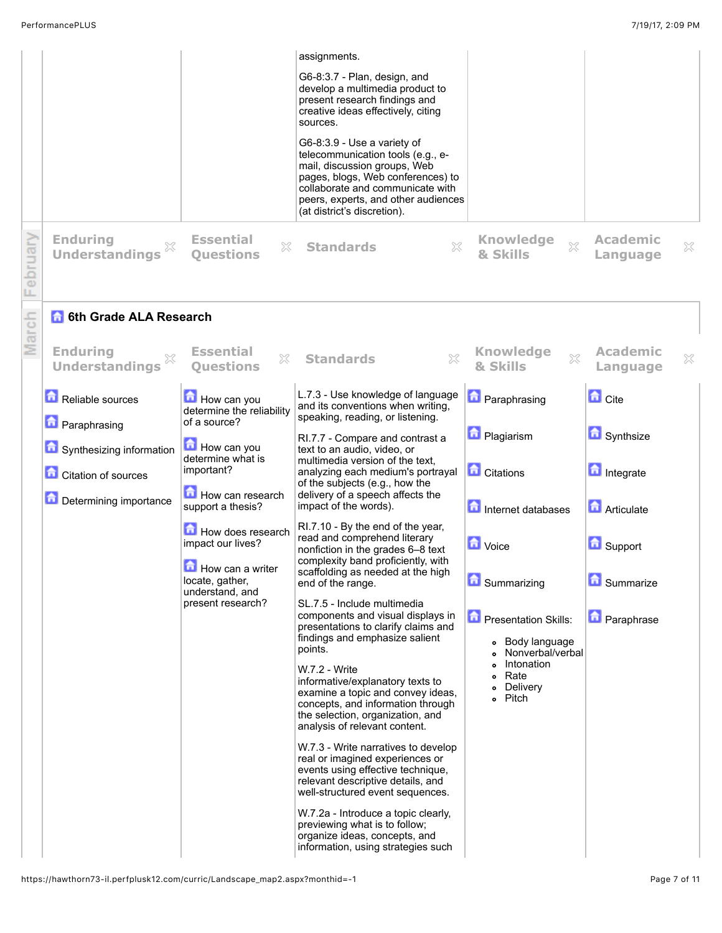|          |                                                        |                                                            | assignments.<br>G6-8:3.7 - Plan, design, and<br>develop a multimedia product to<br>present research findings and<br>creative ideas effectively, citing<br>sources.<br>G6-8:3.9 - Use a variety of<br>telecommunication tools (e.g., e-<br>mail, discussion groups, Web<br>pages, blogs, Web conferences) to<br>collaborate and communicate with<br>peers, experts, and other audiences<br>(at district's discretion).                                                                                        |                                                                                                                     |                                          |
|----------|--------------------------------------------------------|------------------------------------------------------------|--------------------------------------------------------------------------------------------------------------------------------------------------------------------------------------------------------------------------------------------------------------------------------------------------------------------------------------------------------------------------------------------------------------------------------------------------------------------------------------------------------------|---------------------------------------------------------------------------------------------------------------------|------------------------------------------|
| February | <b>Enduring</b><br><b>Understandings</b>               | <b>Essential</b><br>X<br><b>Ouestions</b>                  | X<br><b>Standards</b>                                                                                                                                                                                                                                                                                                                                                                                                                                                                                        | <b>Knowledge</b><br>$\chi$<br>& Skills                                                                              | <b>Academic</b><br>$\rm \%$<br>Language  |
|          | <b>6th Grade ALA Research</b>                          |                                                            |                                                                                                                                                                                                                                                                                                                                                                                                                                                                                                              |                                                                                                                     |                                          |
| March    | <b>Enduring</b><br>×<br><b>Understandings</b>          | <b>Essential</b><br>X<br><b>Ouestions</b>                  | X<br><b>Standards</b>                                                                                                                                                                                                                                                                                                                                                                                                                                                                                        | <b>Knowledge</b><br>$\boldsymbol{\mathsf{X}}$<br>& Skills                                                           | <b>Academic</b><br>$\gtrsim$<br>Language |
|          | Reliable sources<br><b>n</b> Paraphrasing              | How can you<br>determine the reliability<br>of a source?   | L.7.3 - Use knowledge of language<br>and its conventions when writing,<br>speaking, reading, or listening.                                                                                                                                                                                                                                                                                                                                                                                                   | <b>D</b> Paraphrasing                                                                                               | <b>n</b> Cite                            |
|          |                                                        | How can you                                                | RI.7.7 - Compare and contrast a                                                                                                                                                                                                                                                                                                                                                                                                                                                                              | <b>D</b> Plagiarism                                                                                                 | Synthsize                                |
|          | Synthesizing information<br><b>Citation of sources</b> | determine what is<br>important?                            | text to an audio, video, or<br>multimedia version of the text,<br>analyzing each medium's portrayal<br>of the subjects (e.g., how the                                                                                                                                                                                                                                                                                                                                                                        | <b>C</b> itations                                                                                                   | Integrate                                |
|          | Determining importance                                 | How can research<br>support a thesis?                      | delivery of a speech affects the<br>impact of the words).                                                                                                                                                                                                                                                                                                                                                                                                                                                    | Internet databases                                                                                                  | <b>Articulate</b>                        |
|          |                                                        | How does research<br>impact our lives?<br>How can a writer | RI.7.10 - By the end of the year,<br>read and comprehend literary<br>nonfiction in the grades 6-8 text<br>complexity band proficiently, with<br>scaffolding as needed at the high                                                                                                                                                                                                                                                                                                                            | <b>D</b> Voice                                                                                                      | <b>B</b> Support                         |
|          |                                                        | locate, gather,<br>understand, and                         | end of the range.                                                                                                                                                                                                                                                                                                                                                                                                                                                                                            | <b>D</b> Summarizing                                                                                                | فالأحمال<br>Summarize                    |
|          |                                                        | present research?                                          | SL.7.5 - Include multimedia<br>components and visual displays in<br>presentations to clarify claims and<br>findings and emphasize salient<br>points.<br>W.7.2 - Write<br>informative/explanatory texts to<br>examine a topic and convey ideas,<br>concepts, and information through<br>the selection, organization, and<br>analysis of relevant content.<br>W.7.3 - Write narratives to develop<br>real or imagined experiences or<br>events using effective technique,<br>relevant descriptive details, and | <b>Presentation Skills:</b><br>• Body language<br>Nonverbal/verbal<br>Intonation<br>• Rate<br>• Delivery<br>o Pitch | <b>D</b> Paraphrase                      |
|          |                                                        |                                                            | well-structured event sequences.<br>W.7.2a - Introduce a topic clearly,<br>previewing what is to follow;<br>organize ideas, concepts, and<br>information, using strategies such                                                                                                                                                                                                                                                                                                                              |                                                                                                                     |                                          |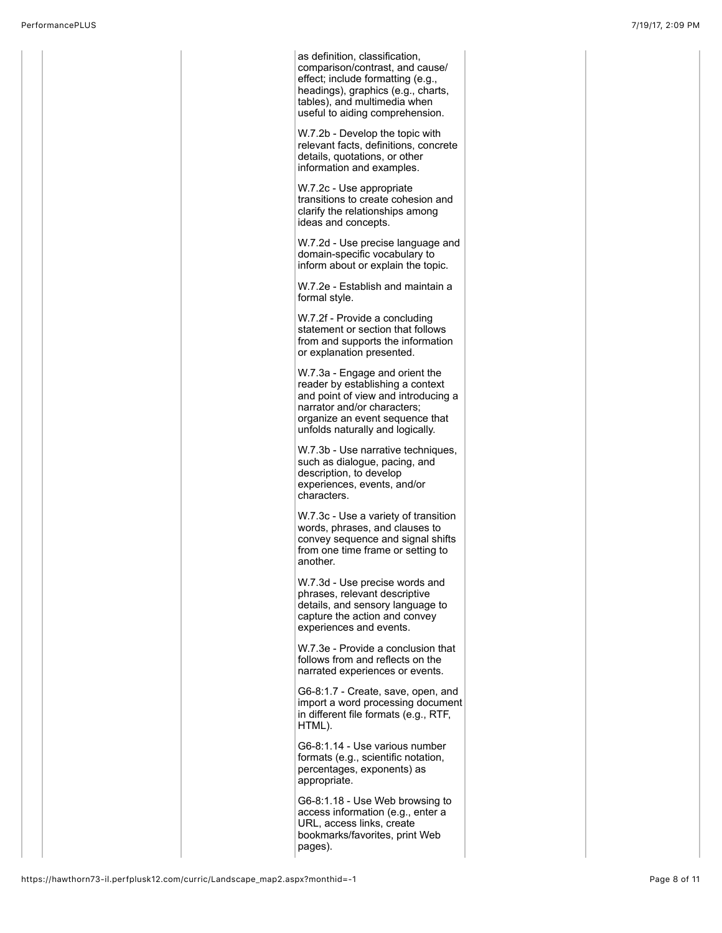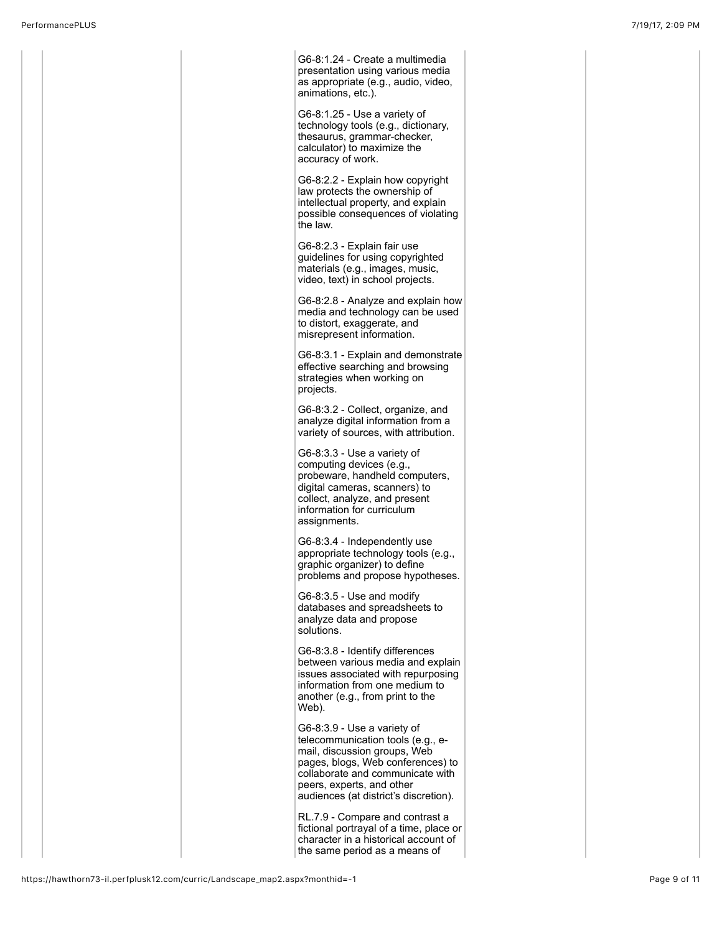G6-8:1.24 - Create a multimedia presentation using various media as appropriate (e.g., audio, video, animations, etc.).

G6-8:1.25 - Use a variety of technology tools (e.g., dictionary, thesaurus, grammar-checker, calculator) to maximize the accuracy of work.

G6-8:2.2 - Explain how copyright law protects the ownership of intellectual property, and explain possible consequences of violating the law.

G6-8:2.3 - Explain fair use guidelines for using copyrighted materials (e.g., images, music, video, text) in school projects.

G6-8:2.8 - Analyze and explain how media and technology can be used to distort, exaggerate, and misrepresent information.

G6-8:3.1 - Explain and demonstrate effective searching and browsing strategies when working on projects.

G6-8:3.2 - Collect, organize, and analyze digital information from a variety of sources, with attribution.

G6-8:3.3 - Use a variety of computing devices (e.g., probeware, handheld computers, digital cameras, scanners) to collect, analyze, and present information for curriculum assignments.

G6-8:3.4 - Independently use appropriate technology tools (e.g., graphic organizer) to define problems and propose hypotheses.

G6-8:3.5 - Use and modify databases and spreadsheets to analyze data and propose solutions.

G6-8:3.8 - Identify differences between various media and explain issues associated with repurposing information from one medium to another (e.g., from print to the Web).

G6-8:3.9 - Use a variety of telecommunication tools (e.g., email, discussion groups, Web pages, blogs, Web conferences) to collaborate and communicate with peers, experts, and other audiences (at district's discretion).

RL.7.9 - Compare and contrast a fictional portrayal of a time, place or character in a historical account of the same period as a means of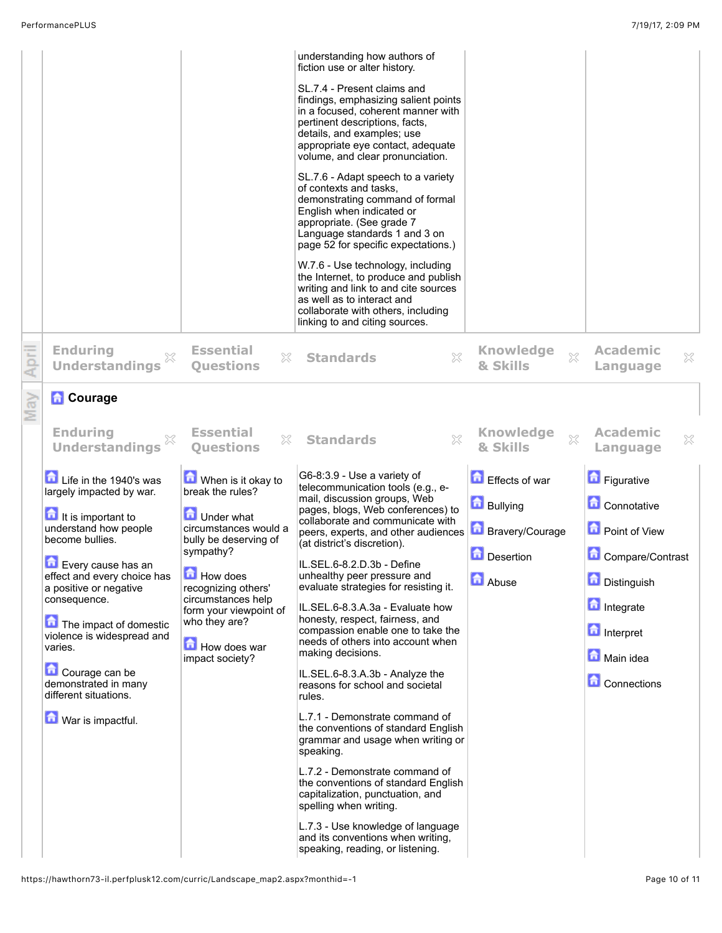|                                                                             |                                                             | understanding how authors of<br>fiction use or alter history.                                                                                                                                                                                      |                                    |                                        |
|-----------------------------------------------------------------------------|-------------------------------------------------------------|----------------------------------------------------------------------------------------------------------------------------------------------------------------------------------------------------------------------------------------------------|------------------------------------|----------------------------------------|
|                                                                             |                                                             | SL.7.4 - Present claims and<br>findings, emphasizing salient points<br>in a focused, coherent manner with<br>pertinent descriptions, facts,<br>details, and examples; use<br>appropriate eye contact, adequate<br>volume, and clear pronunciation. |                                    |                                        |
|                                                                             |                                                             | SL.7.6 - Adapt speech to a variety<br>of contexts and tasks.<br>demonstrating command of formal<br>English when indicated or<br>appropriate. (See grade 7<br>Language standards 1 and 3 on<br>page 52 for specific expectations.)                  |                                    |                                        |
|                                                                             |                                                             | W.7.6 - Use technology, including<br>the Internet, to produce and publish<br>writing and link to and cite sources<br>as well as to interact and<br>collaborate with others, including<br>linking to and citing sources.                            |                                    |                                        |
| <b>Enduring</b><br><b>Understandings</b>                                    | <b>Essential</b><br>X<br><b>Questions</b>                   | ×<br><b>Standards</b>                                                                                                                                                                                                                              | <b>Knowledge</b><br>53<br>& Skills | <b>Academic</b><br>×<br>Language       |
| <b>Courage</b>                                                              |                                                             |                                                                                                                                                                                                                                                    |                                    |                                        |
| <b>Enduring</b><br><b>Understandings</b>                                    | <b>Essential</b><br>$\mathbb{X}$<br><b>Ouestions</b>        | $\boldsymbol{\mathbb{X}}$<br><b>Standards</b>                                                                                                                                                                                                      | <b>Knowledge</b><br>88<br>& Skills | <b>Academic</b><br>X<br>Language       |
|                                                                             |                                                             |                                                                                                                                                                                                                                                    |                                    |                                        |
| Life in the 1940's was<br>largely impacted by war.                          | When is it okay to<br>break the rules?                      | G6-8:3.9 - Use a variety of<br>telecommunication tools (e.g., e-                                                                                                                                                                                   | Effects of war                     | <b>Figurative</b>                      |
| It is important to                                                          | <b>D</b> Under what                                         | mail, discussion groups, Web<br>pages, blogs, Web conferences) to<br>collaborate and communicate with                                                                                                                                              | <b>Bullying</b>                    | <b>Connotative</b>                     |
| understand how people<br>become bullies.                                    | circumstances would a<br>bully be deserving of<br>sympathy? | peers, experts, and other audiences<br>(at district's discretion).                                                                                                                                                                                 | <b>Bravery/Courage</b>             | <b>D</b> Point of View                 |
| Every cause has an<br>effect and every choice has<br>a positive or negative | How does<br>recognizing others'                             | IL.SEL.6-8.2.D.3b - Define<br>unhealthy peer pressure and<br>evaluate strategies for resisting it.                                                                                                                                                 | <b>Desertion</b><br>Abuse          | Compare/Contrast<br><b>Distinguish</b> |
| consequence.                                                                | circumstances help<br>form your viewpoint of                | IL.SEL.6-8.3.A.3a - Evaluate how                                                                                                                                                                                                                   |                                    | <b>n</b> Integrate                     |
| The impact of domestic<br>violence is widespread and                        | who they are?                                               | honesty, respect, fairness, and<br>compassion enable one to take the<br>needs of others into account when                                                                                                                                          |                                    | <b>n</b> Interpret                     |
| varies.                                                                     | How does war<br>impact society?                             | making decisions.                                                                                                                                                                                                                                  |                                    | Main idea                              |
| Courage can be<br>demonstrated in many<br>different situations.             |                                                             | IL.SEL.6-8.3.A.3b - Analyze the<br>reasons for school and societal<br>rules.                                                                                                                                                                       |                                    | <b>Connections</b>                     |
| War is impactful.                                                           |                                                             | L.7.1 - Demonstrate command of<br>the conventions of standard English<br>grammar and usage when writing or<br>speaking.                                                                                                                            |                                    |                                        |
|                                                                             |                                                             | L.7.2 - Demonstrate command of<br>the conventions of standard English<br>capitalization, punctuation, and<br>spelling when writing.                                                                                                                |                                    |                                        |